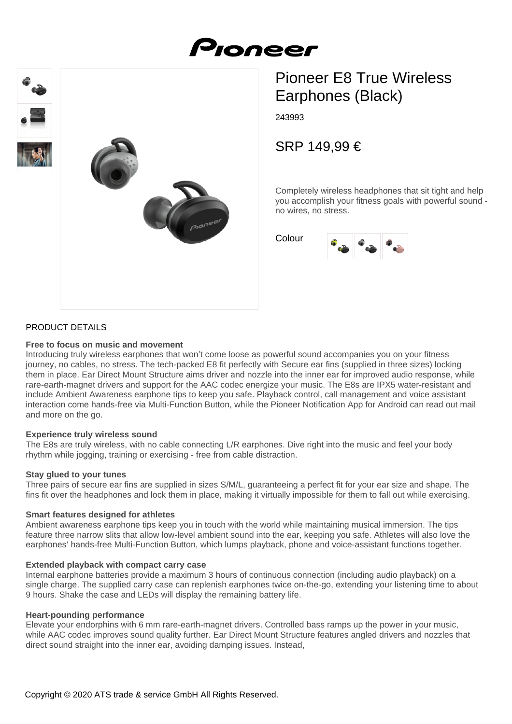



# Pioneer E8 True Wireless Earphones (Black)

243993

SRP 149,99 €

Completely wireless headphones that sit tight and help you accomplish your fitness goals with powerful sound no wires, no stress.

Colour



## PRODUCT DETAILS

#### **Free to focus on music and movement**

Introducing truly wireless earphones that won't come loose as powerful sound accompanies you on your fitness journey, no cables, no stress. The tech-packed E8 fit perfectly with Secure ear fins (supplied in three sizes) locking them in place. Ear Direct Mount Structure aims driver and nozzle into the inner ear for improved audio response, while rare-earth-magnet drivers and support for the AAC codec energize your music. The E8s are IPX5 water-resistant and include Ambient Awareness earphone tips to keep you safe. Playback control, call management and voice assistant interaction come hands-free via Multi-Function Button, while the Pioneer Notification App for Android can read out mail and more on the go.

#### **Experience truly wireless sound**

The E8s are truly wireless, with no cable connecting L/R earphones. Dive right into the music and feel your body rhythm while jogging, training or exercising - free from cable distraction.

## **Stay glued to your tunes**

Three pairs of secure ear fins are supplied in sizes S/M/L, guaranteeing a perfect fit for your ear size and shape. The fins fit over the headphones and lock them in place, making it virtually impossible for them to fall out while exercising.

#### **Smart features designed for athletes**

Ambient awareness earphone tips keep you in touch with the world while maintaining musical immersion. The tips feature three narrow slits that allow low-level ambient sound into the ear, keeping you safe. Athletes will also love the earphones' hands-free Multi-Function Button, which lumps playback, phone and voice-assistant functions together.

## **Extended playback with compact carry case**

Internal earphone batteries provide a maximum 3 hours of continuous connection (including audio playback) on a single charge. The supplied carry case can replenish earphones twice on-the-go, extending your listening time to about 9 hours. Shake the case and LEDs will display the remaining battery life.

#### **Heart-pounding performance**

Elevate your endorphins with 6 mm rare-earth-magnet drivers. Controlled bass ramps up the power in your music, while AAC codec improves sound quality further. Ear Direct Mount Structure features angled drivers and nozzles that direct sound straight into the inner ear, avoiding damping issues. Instead,